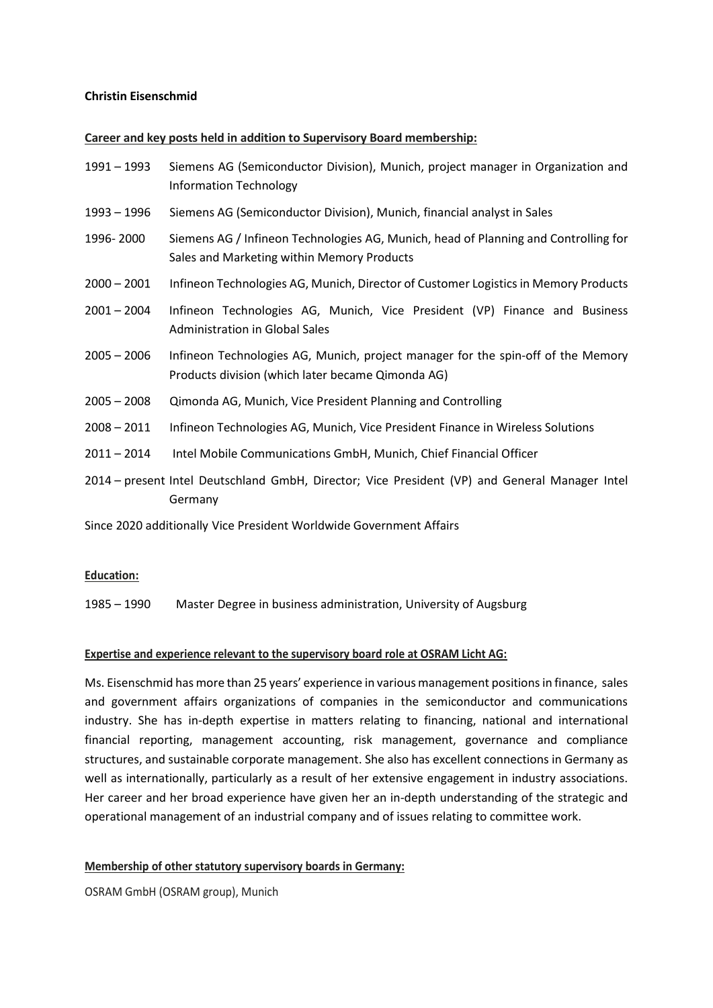## **Christin Eisenschmid**

#### **Career and key posts held in addition to Supervisory Board membership:**

- 1991 1993 Siemens AG (Semiconductor Division), Munich, project manager in Organization and Information Technology
- 1993 1996 Siemens AG (Semiconductor Division), Munich, financial analyst in Sales
- 1996- 2000 Siemens AG / Infineon Technologies AG, Munich, head of Planning and Controlling for Sales and Marketing within Memory Products
- 2000 2001 Infineon Technologies AG, Munich, Director of Customer Logisticsin Memory Products
- 2001 2004 Infineon Technologies AG, Munich, Vice President (VP) Finance and Business Administration in Global Sales
- 2005 2006 Infineon Technologies AG, Munich, project manager for the spin-off of the Memory Products division (which later became Qimonda AG)
- 2005 2008 Qimonda AG, Munich, Vice President Planning and Controlling
- 2008 2011 Infineon Technologies AG, Munich, Vice President Finance in Wireless Solutions
- 2011 2014 Intel Mobile Communications GmbH, Munich, Chief Financial Officer
- 2014 present Intel Deutschland GmbH, Director; Vice President (VP) and General Manager Intel Germany

Since 2020 additionally Vice President Worldwide Government Affairs

### **Education:**

1985 – 1990 Master Degree in business administration, University of Augsburg

### **Expertise and experience relevant to the supervisory board role at OSRAM Licht AG:**

Ms. Eisenschmid has more than 25 years' experience in various management positions in finance, sales and government affairs organizations of companies in the semiconductor and communications industry. She has in-depth expertise in matters relating to financing, national and international financial reporting, management accounting, risk management, governance and compliance structures, and sustainable corporate management. She also has excellent connections in Germany as well as internationally, particularly as a result of her extensive engagement in industry associations. Her career and her broad experience have given her an in-depth understanding of the strategic and operational management of an industrial company and of issues relating to committee work.

### **Membership of other statutory supervisory boards in Germany:**

OSRAM GmbH (OSRAM group), Munich